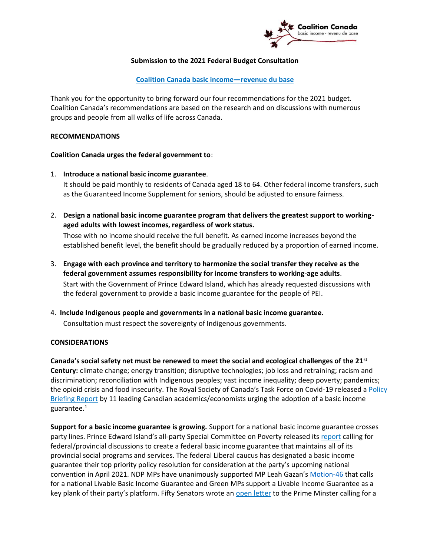

#### **Submission to the 2021 Federal Budget Consultation**

# **Coalition Canada basic income—revenue du base**

Thank you for the opportunity to bring forward our four recommendations for the 2021 budget. Coalition Canada's recommendations are based on the research and on discussions with numerous groups and people from all walks of life across Canada.

## **RECOMMENDATIONS**

## **Coalition Canada urges the federal government to**:

- 1. **Introduce a national basic income guarantee**. It should be paid monthly to residents of Canada aged 18 to 64. Other federal income transfers, such as the Guaranteed Income Supplement for seniors, should be adjusted to ensure fairness.
- 2. **Design a national basic income guarantee program that delivers the greatest support to workingaged adults with lowest incomes, regardless of work status.**

Those with no income should receive the full benefit. As earned income increases beyond the established benefit level, the benefit should be gradually reduced by a proportion of earned income.

- 3. **Engage with each province and territory to harmonize the social transfer they receive as the federal government assumes responsibility for income transfers to working-age adults**. Start with the Government of Prince Edward Island, which has already requested discussions with the federal government to provide a basic income guarantee for the people of PEI.
- 4. **Include Indigenous people and governments in a national basic income guarantee.** Consultation must respect the sovereignty of Indigenous governments.

#### **CONSIDERATIONS**

**Canada's social safety net must be renewed to meet the social and ecological challenges of the 21st Century:** climate change; energy transition; disruptive technologies; job loss and retraining; racism and discrimination; reconciliation with Indigenous peoples; vast income inequality; deep poverty; pandemics; the opioid crisis and food insecurity. The Royal Society of Canada's Task Force on Covid-19 released a Policy Briefing Report by 11 leading Canadian academics/economists urging the adoption of a basic income guarantee.<sup>1</sup>

**Support for a basic income guarantee is growing.** Support for a national basic income guarantee crosses party lines. Prince Edward Island's all-party Special Committee on Poverty released its report calling for federal/provincial discussions to create a federal basic income guarantee that maintains all of its provincial social programs and services. The federal Liberal caucus has designated a basic income guarantee their top priority policy resolution for consideration at the party's upcoming national convention in April 2021. NDP MPs have unanimously supported MP Leah Gazan's Motion-46 that calls for a national Livable Basic Income Guarantee and Green MPs support a Livable Income Guarantee as a key plank of their party's platform. Fifty Senators wrote an open letter to the Prime Minster calling for a